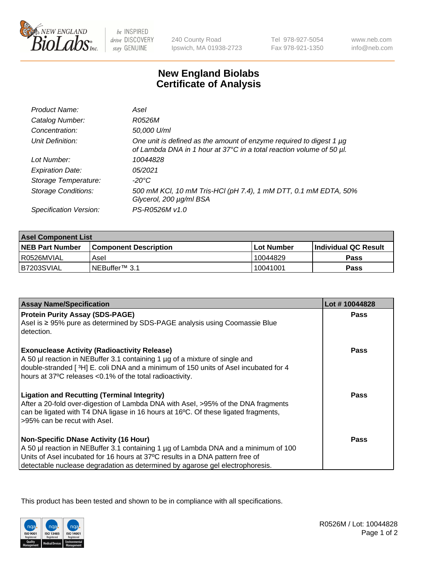

be INSPIRED drive DISCOVERY stay GENUINE

240 County Road Ipswich, MA 01938-2723 Tel 978-927-5054 Fax 978-921-1350

www.neb.com info@neb.com

## **New England Biolabs Certificate of Analysis**

| Product Name:              | Asel                                                                                                                                        |
|----------------------------|---------------------------------------------------------------------------------------------------------------------------------------------|
| Catalog Number:            | R0526M                                                                                                                                      |
| Concentration:             | 50,000 U/ml                                                                                                                                 |
| Unit Definition:           | One unit is defined as the amount of enzyme required to digest 1 µg<br>of Lambda DNA in 1 hour at 37°C in a total reaction volume of 50 µl. |
| Lot Number:                | 10044828                                                                                                                                    |
| <b>Expiration Date:</b>    | 05/2021                                                                                                                                     |
| Storage Temperature:       | $-20^{\circ}$ C                                                                                                                             |
| <b>Storage Conditions:</b> | 500 mM KCI, 10 mM Tris-HCI (pH 7.4), 1 mM DTT, 0.1 mM EDTA, 50%<br>Glycerol, 200 µg/ml BSA                                                  |
| Specification Version:     | PS-R0526M v1.0                                                                                                                              |

| <b>Asel Component List</b> |                         |              |                             |  |
|----------------------------|-------------------------|--------------|-----------------------------|--|
| <b>NEB Part Number</b>     | l Component Description | l Lot Number | <b>Individual QC Result</b> |  |
| I R0526MVIAL               | Asel                    | 10044829     | Pass                        |  |
| B7203SVIAL                 | INEBuffer™ 3.1          | 10041001     | Pass                        |  |

| <b>Assay Name/Specification</b>                                                                                                                                                                                                                                                                       | Lot #10044828 |
|-------------------------------------------------------------------------------------------------------------------------------------------------------------------------------------------------------------------------------------------------------------------------------------------------------|---------------|
| <b>Protein Purity Assay (SDS-PAGE)</b><br>Asel is ≥ 95% pure as determined by SDS-PAGE analysis using Coomassie Blue<br>detection.                                                                                                                                                                    | <b>Pass</b>   |
| <b>Exonuclease Activity (Radioactivity Release)</b><br>A 50 µl reaction in NEBuffer 3.1 containing 1 µg of a mixture of single and<br>double-stranded [3H] E. coli DNA and a minimum of 150 units of Asel incubated for 4<br>hours at 37°C releases <0.1% of the total radioactivity.                 | <b>Pass</b>   |
| <b>Ligation and Recutting (Terminal Integrity)</b><br>After a 20-fold over-digestion of Lambda DNA with Asel, >95% of the DNA fragments<br>can be ligated with T4 DNA ligase in 16 hours at 16°C. Of these ligated fragments,<br>>95% can be recut with Asel.                                         | <b>Pass</b>   |
| <b>Non-Specific DNase Activity (16 Hour)</b><br>A 50 µl reaction in NEBuffer 3.1 containing 1 µg of Lambda DNA and a minimum of 100<br>Units of Asel incubated for 16 hours at 37°C results in a DNA pattern free of<br>detectable nuclease degradation as determined by agarose gel electrophoresis. | Pass          |

This product has been tested and shown to be in compliance with all specifications.